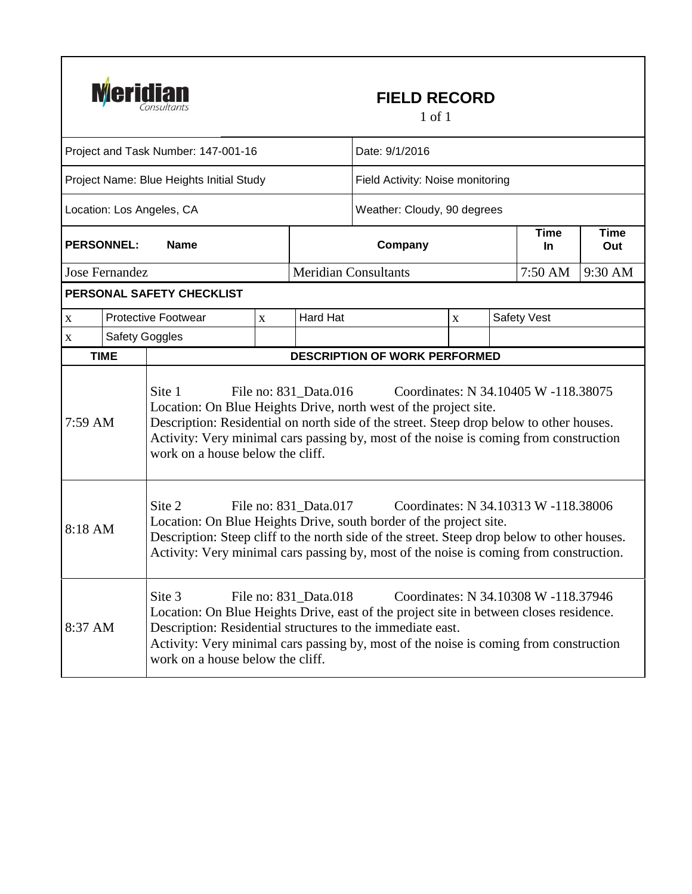

## **FIELD RECORD**

1 of 1

| Project and Task Number: 147-001-16      |                       |                                                                                                                                                                                                                                                                                                                                                                     |              | Date: 9/1/2016                   |                                      |             |  |             |                    |  |
|------------------------------------------|-----------------------|---------------------------------------------------------------------------------------------------------------------------------------------------------------------------------------------------------------------------------------------------------------------------------------------------------------------------------------------------------------------|--------------|----------------------------------|--------------------------------------|-------------|--|-------------|--------------------|--|
| Project Name: Blue Heights Initial Study |                       |                                                                                                                                                                                                                                                                                                                                                                     |              | Field Activity: Noise monitoring |                                      |             |  |             |                    |  |
|                                          |                       | Location: Los Angeles, CA                                                                                                                                                                                                                                                                                                                                           |              |                                  | Weather: Cloudy, 90 degrees          |             |  |             |                    |  |
| <b>PERSONNEL:</b><br><b>Name</b>         |                       |                                                                                                                                                                                                                                                                                                                                                                     |              |                                  | Company                              |             |  |             | <b>Time</b><br>Out |  |
|                                          | <b>Jose Fernandez</b> |                                                                                                                                                                                                                                                                                                                                                                     |              |                                  | <b>Meridian Consultants</b>          |             |  | 7:50 AM     | 9:30 AM            |  |
|                                          |                       | PERSONAL SAFETY CHECKLIST                                                                                                                                                                                                                                                                                                                                           |              |                                  |                                      |             |  |             |                    |  |
| $\mathbf X$                              |                       | <b>Protective Footwear</b>                                                                                                                                                                                                                                                                                                                                          | $\mathbf{X}$ | Hard Hat                         |                                      | $\mathbf X$ |  | Safety Vest |                    |  |
| $\mathbf X$                              | <b>Safety Goggles</b> |                                                                                                                                                                                                                                                                                                                                                                     |              |                                  |                                      |             |  |             |                    |  |
|                                          | <b>TIME</b>           |                                                                                                                                                                                                                                                                                                                                                                     |              |                                  | <b>DESCRIPTION OF WORK PERFORMED</b> |             |  |             |                    |  |
| 7:59 AM                                  |                       | Site 1<br>Coordinates: N 34.10405 W -118.38075<br>File no: 831 Data.016<br>Location: On Blue Heights Drive, north west of the project site.<br>Description: Residential on north side of the street. Steep drop below to other houses.<br>Activity: Very minimal cars passing by, most of the noise is coming from construction<br>work on a house below the cliff. |              |                                  |                                      |             |  |             |                    |  |
| 8:18 AM                                  |                       | Site 2<br>File no: 831 Data.017<br>Coordinates: N 34.10313 W -118.38006<br>Location: On Blue Heights Drive, south border of the project site.<br>Description: Steep cliff to the north side of the street. Steep drop below to other houses.<br>Activity: Very minimal cars passing by, most of the noise is coming from construction.                              |              |                                  |                                      |             |  |             |                    |  |
| 8:37 AM                                  |                       | Site 3<br>Location: On Blue Heights Drive, east of the project site in between closes residence.<br>Description: Residential structures to the immediate east.<br>Activity: Very minimal cars passing by, most of the noise is coming from construction<br>work on a house below the cliff.                                                                         |              |                                  |                                      |             |  |             |                    |  |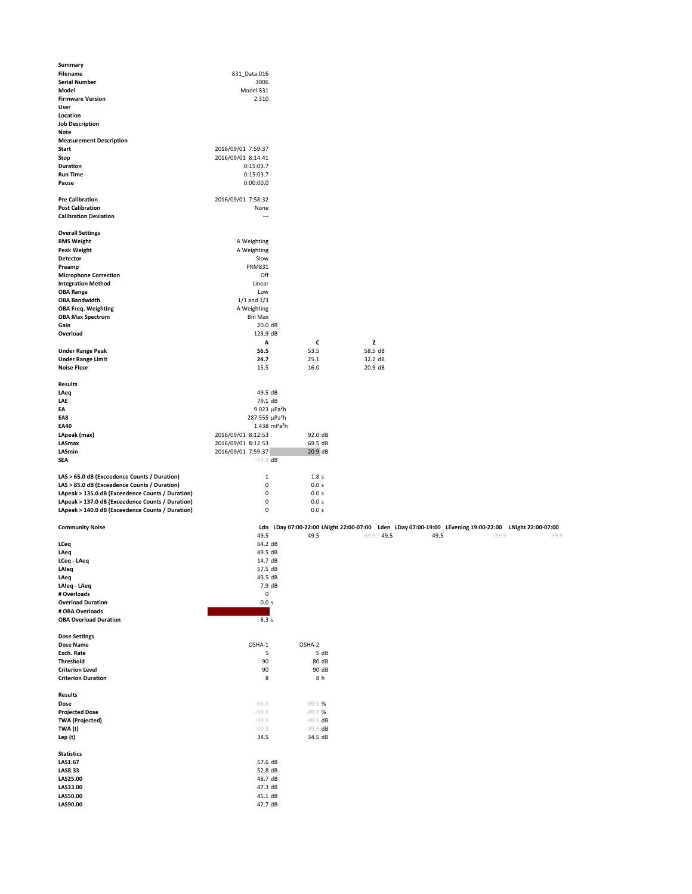| <b>Filename</b><br>831_Data.016<br><b>Serial Number</b><br>3006<br><b>Model</b><br>Model 831<br><b>Firmware Version</b><br>2.310<br><b>User</b><br>Location<br><b>Job Description</b><br><b>Note</b><br><b>Measurement Description</b><br><b>Start</b><br>2016/09/01 7:59:37<br>2016/09/01 8:14:41<br><b>Stop</b><br><b>Duration</b><br>0:15:03.7<br><b>Run Time</b><br>0:15:03.7<br>0:00:00.0<br>Pause<br><b>Pre Calibration</b><br>2016/09/01 7:58:32<br><b>Post Calibration</b><br>None<br><b>Calibration Deviation</b><br>---<br><b>Overall Settings</b><br><b>RMS Weight</b><br>A Weighting<br><b>Peak Weight</b><br>A Weighting<br>Slow<br><b>Detector</b><br><b>PRM831</b><br>Preamp<br>Off<br><b>Microphone Correction</b><br><b>Integration Method</b><br>Linear<br><b>OBA Range</b><br>Low<br><b>OBA Bandwidth</b><br>$1/1$ and $1/3$<br>A Weighting<br><b>OBA Freq. Weighting</b><br><b>OBA Max Spectrum</b><br><b>Bin Max</b><br>Gain<br>20.0 dB<br>Overload<br>123.9 dB<br>$\mathbf Z$<br>$\mathsf{C}$<br>$\boldsymbol{A}$<br><b>Under Range Peak</b><br>56.5<br>53.5<br><b>Under Range Limit</b><br>24.7<br>25.1<br><b>Noise Floor</b><br>16.0<br>15.5<br><b>Results</b><br>49.5 dB<br>LAeq<br>79.1 dB<br><b>LAE</b><br>9.023 $\mu$ Pa <sup>2</sup> h<br>EA<br>287.555 µPa <sup>2</sup> h<br>EA8<br>1.438 mPa <sup>2</sup> h<br><b>EA40</b><br>2016/09/01 8:12:53<br>LApeak (max)<br>92.0 dB<br>2016/09/01 8:12:53<br><b>LASmax</b><br>69.5 dB<br>20.9 dB<br>2016/09/01 7:59:37<br><b>LASmin</b><br><b>SEA</b><br>$-99.9$ dB<br>LAS > 65.0 dB (Exceedence Counts / Duration)<br>1.8s<br>1<br>LAS > 85.0 dB (Exceedence Counts / Duration)<br>0.0 s<br>0<br>LApeak > 135.0 dB (Exceedence Counts / Duration)<br>0.0 s<br>0<br>LApeak > 137.0 dB (Exceedence Counts / Duration)<br>0.0 s<br>0<br>LApeak > 140.0 dB (Exceedence Counts / Duration)<br>0.0 s<br>0 | <b>Summary</b> |  |         |
|-----------------------------------------------------------------------------------------------------------------------------------------------------------------------------------------------------------------------------------------------------------------------------------------------------------------------------------------------------------------------------------------------------------------------------------------------------------------------------------------------------------------------------------------------------------------------------------------------------------------------------------------------------------------------------------------------------------------------------------------------------------------------------------------------------------------------------------------------------------------------------------------------------------------------------------------------------------------------------------------------------------------------------------------------------------------------------------------------------------------------------------------------------------------------------------------------------------------------------------------------------------------------------------------------------------------------------------------------------------------------------------------------------------------------------------------------------------------------------------------------------------------------------------------------------------------------------------------------------------------------------------------------------------------------------------------------------------------------------------------------------------------------------------------------------------------------------------------------------------------------------|----------------|--|---------|
|                                                                                                                                                                                                                                                                                                                                                                                                                                                                                                                                                                                                                                                                                                                                                                                                                                                                                                                                                                                                                                                                                                                                                                                                                                                                                                                                                                                                                                                                                                                                                                                                                                                                                                                                                                                                                                                                             |                |  |         |
|                                                                                                                                                                                                                                                                                                                                                                                                                                                                                                                                                                                                                                                                                                                                                                                                                                                                                                                                                                                                                                                                                                                                                                                                                                                                                                                                                                                                                                                                                                                                                                                                                                                                                                                                                                                                                                                                             |                |  |         |
|                                                                                                                                                                                                                                                                                                                                                                                                                                                                                                                                                                                                                                                                                                                                                                                                                                                                                                                                                                                                                                                                                                                                                                                                                                                                                                                                                                                                                                                                                                                                                                                                                                                                                                                                                                                                                                                                             |                |  |         |
|                                                                                                                                                                                                                                                                                                                                                                                                                                                                                                                                                                                                                                                                                                                                                                                                                                                                                                                                                                                                                                                                                                                                                                                                                                                                                                                                                                                                                                                                                                                                                                                                                                                                                                                                                                                                                                                                             |                |  |         |
|                                                                                                                                                                                                                                                                                                                                                                                                                                                                                                                                                                                                                                                                                                                                                                                                                                                                                                                                                                                                                                                                                                                                                                                                                                                                                                                                                                                                                                                                                                                                                                                                                                                                                                                                                                                                                                                                             |                |  |         |
|                                                                                                                                                                                                                                                                                                                                                                                                                                                                                                                                                                                                                                                                                                                                                                                                                                                                                                                                                                                                                                                                                                                                                                                                                                                                                                                                                                                                                                                                                                                                                                                                                                                                                                                                                                                                                                                                             |                |  |         |
|                                                                                                                                                                                                                                                                                                                                                                                                                                                                                                                                                                                                                                                                                                                                                                                                                                                                                                                                                                                                                                                                                                                                                                                                                                                                                                                                                                                                                                                                                                                                                                                                                                                                                                                                                                                                                                                                             |                |  |         |
|                                                                                                                                                                                                                                                                                                                                                                                                                                                                                                                                                                                                                                                                                                                                                                                                                                                                                                                                                                                                                                                                                                                                                                                                                                                                                                                                                                                                                                                                                                                                                                                                                                                                                                                                                                                                                                                                             |                |  |         |
|                                                                                                                                                                                                                                                                                                                                                                                                                                                                                                                                                                                                                                                                                                                                                                                                                                                                                                                                                                                                                                                                                                                                                                                                                                                                                                                                                                                                                                                                                                                                                                                                                                                                                                                                                                                                                                                                             |                |  |         |
|                                                                                                                                                                                                                                                                                                                                                                                                                                                                                                                                                                                                                                                                                                                                                                                                                                                                                                                                                                                                                                                                                                                                                                                                                                                                                                                                                                                                                                                                                                                                                                                                                                                                                                                                                                                                                                                                             |                |  |         |
|                                                                                                                                                                                                                                                                                                                                                                                                                                                                                                                                                                                                                                                                                                                                                                                                                                                                                                                                                                                                                                                                                                                                                                                                                                                                                                                                                                                                                                                                                                                                                                                                                                                                                                                                                                                                                                                                             |                |  |         |
|                                                                                                                                                                                                                                                                                                                                                                                                                                                                                                                                                                                                                                                                                                                                                                                                                                                                                                                                                                                                                                                                                                                                                                                                                                                                                                                                                                                                                                                                                                                                                                                                                                                                                                                                                                                                                                                                             |                |  |         |
|                                                                                                                                                                                                                                                                                                                                                                                                                                                                                                                                                                                                                                                                                                                                                                                                                                                                                                                                                                                                                                                                                                                                                                                                                                                                                                                                                                                                                                                                                                                                                                                                                                                                                                                                                                                                                                                                             |                |  |         |
|                                                                                                                                                                                                                                                                                                                                                                                                                                                                                                                                                                                                                                                                                                                                                                                                                                                                                                                                                                                                                                                                                                                                                                                                                                                                                                                                                                                                                                                                                                                                                                                                                                                                                                                                                                                                                                                                             |                |  |         |
|                                                                                                                                                                                                                                                                                                                                                                                                                                                                                                                                                                                                                                                                                                                                                                                                                                                                                                                                                                                                                                                                                                                                                                                                                                                                                                                                                                                                                                                                                                                                                                                                                                                                                                                                                                                                                                                                             |                |  |         |
|                                                                                                                                                                                                                                                                                                                                                                                                                                                                                                                                                                                                                                                                                                                                                                                                                                                                                                                                                                                                                                                                                                                                                                                                                                                                                                                                                                                                                                                                                                                                                                                                                                                                                                                                                                                                                                                                             |                |  |         |
|                                                                                                                                                                                                                                                                                                                                                                                                                                                                                                                                                                                                                                                                                                                                                                                                                                                                                                                                                                                                                                                                                                                                                                                                                                                                                                                                                                                                                                                                                                                                                                                                                                                                                                                                                                                                                                                                             |                |  |         |
|                                                                                                                                                                                                                                                                                                                                                                                                                                                                                                                                                                                                                                                                                                                                                                                                                                                                                                                                                                                                                                                                                                                                                                                                                                                                                                                                                                                                                                                                                                                                                                                                                                                                                                                                                                                                                                                                             |                |  |         |
|                                                                                                                                                                                                                                                                                                                                                                                                                                                                                                                                                                                                                                                                                                                                                                                                                                                                                                                                                                                                                                                                                                                                                                                                                                                                                                                                                                                                                                                                                                                                                                                                                                                                                                                                                                                                                                                                             |                |  |         |
|                                                                                                                                                                                                                                                                                                                                                                                                                                                                                                                                                                                                                                                                                                                                                                                                                                                                                                                                                                                                                                                                                                                                                                                                                                                                                                                                                                                                                                                                                                                                                                                                                                                                                                                                                                                                                                                                             |                |  |         |
|                                                                                                                                                                                                                                                                                                                                                                                                                                                                                                                                                                                                                                                                                                                                                                                                                                                                                                                                                                                                                                                                                                                                                                                                                                                                                                                                                                                                                                                                                                                                                                                                                                                                                                                                                                                                                                                                             |                |  |         |
|                                                                                                                                                                                                                                                                                                                                                                                                                                                                                                                                                                                                                                                                                                                                                                                                                                                                                                                                                                                                                                                                                                                                                                                                                                                                                                                                                                                                                                                                                                                                                                                                                                                                                                                                                                                                                                                                             |                |  |         |
|                                                                                                                                                                                                                                                                                                                                                                                                                                                                                                                                                                                                                                                                                                                                                                                                                                                                                                                                                                                                                                                                                                                                                                                                                                                                                                                                                                                                                                                                                                                                                                                                                                                                                                                                                                                                                                                                             |                |  |         |
|                                                                                                                                                                                                                                                                                                                                                                                                                                                                                                                                                                                                                                                                                                                                                                                                                                                                                                                                                                                                                                                                                                                                                                                                                                                                                                                                                                                                                                                                                                                                                                                                                                                                                                                                                                                                                                                                             |                |  |         |
|                                                                                                                                                                                                                                                                                                                                                                                                                                                                                                                                                                                                                                                                                                                                                                                                                                                                                                                                                                                                                                                                                                                                                                                                                                                                                                                                                                                                                                                                                                                                                                                                                                                                                                                                                                                                                                                                             |                |  |         |
|                                                                                                                                                                                                                                                                                                                                                                                                                                                                                                                                                                                                                                                                                                                                                                                                                                                                                                                                                                                                                                                                                                                                                                                                                                                                                                                                                                                                                                                                                                                                                                                                                                                                                                                                                                                                                                                                             |                |  |         |
|                                                                                                                                                                                                                                                                                                                                                                                                                                                                                                                                                                                                                                                                                                                                                                                                                                                                                                                                                                                                                                                                                                                                                                                                                                                                                                                                                                                                                                                                                                                                                                                                                                                                                                                                                                                                                                                                             |                |  |         |
|                                                                                                                                                                                                                                                                                                                                                                                                                                                                                                                                                                                                                                                                                                                                                                                                                                                                                                                                                                                                                                                                                                                                                                                                                                                                                                                                                                                                                                                                                                                                                                                                                                                                                                                                                                                                                                                                             |                |  |         |
|                                                                                                                                                                                                                                                                                                                                                                                                                                                                                                                                                                                                                                                                                                                                                                                                                                                                                                                                                                                                                                                                                                                                                                                                                                                                                                                                                                                                                                                                                                                                                                                                                                                                                                                                                                                                                                                                             |                |  |         |
|                                                                                                                                                                                                                                                                                                                                                                                                                                                                                                                                                                                                                                                                                                                                                                                                                                                                                                                                                                                                                                                                                                                                                                                                                                                                                                                                                                                                                                                                                                                                                                                                                                                                                                                                                                                                                                                                             |                |  |         |
|                                                                                                                                                                                                                                                                                                                                                                                                                                                                                                                                                                                                                                                                                                                                                                                                                                                                                                                                                                                                                                                                                                                                                                                                                                                                                                                                                                                                                                                                                                                                                                                                                                                                                                                                                                                                                                                                             |                |  |         |
|                                                                                                                                                                                                                                                                                                                                                                                                                                                                                                                                                                                                                                                                                                                                                                                                                                                                                                                                                                                                                                                                                                                                                                                                                                                                                                                                                                                                                                                                                                                                                                                                                                                                                                                                                                                                                                                                             |                |  | 58.5 dB |
|                                                                                                                                                                                                                                                                                                                                                                                                                                                                                                                                                                                                                                                                                                                                                                                                                                                                                                                                                                                                                                                                                                                                                                                                                                                                                                                                                                                                                                                                                                                                                                                                                                                                                                                                                                                                                                                                             |                |  | 32.2 dB |
|                                                                                                                                                                                                                                                                                                                                                                                                                                                                                                                                                                                                                                                                                                                                                                                                                                                                                                                                                                                                                                                                                                                                                                                                                                                                                                                                                                                                                                                                                                                                                                                                                                                                                                                                                                                                                                                                             |                |  | 20.9 dB |
|                                                                                                                                                                                                                                                                                                                                                                                                                                                                                                                                                                                                                                                                                                                                                                                                                                                                                                                                                                                                                                                                                                                                                                                                                                                                                                                                                                                                                                                                                                                                                                                                                                                                                                                                                                                                                                                                             |                |  |         |
|                                                                                                                                                                                                                                                                                                                                                                                                                                                                                                                                                                                                                                                                                                                                                                                                                                                                                                                                                                                                                                                                                                                                                                                                                                                                                                                                                                                                                                                                                                                                                                                                                                                                                                                                                                                                                                                                             |                |  |         |
|                                                                                                                                                                                                                                                                                                                                                                                                                                                                                                                                                                                                                                                                                                                                                                                                                                                                                                                                                                                                                                                                                                                                                                                                                                                                                                                                                                                                                                                                                                                                                                                                                                                                                                                                                                                                                                                                             |                |  |         |
|                                                                                                                                                                                                                                                                                                                                                                                                                                                                                                                                                                                                                                                                                                                                                                                                                                                                                                                                                                                                                                                                                                                                                                                                                                                                                                                                                                                                                                                                                                                                                                                                                                                                                                                                                                                                                                                                             |                |  |         |
|                                                                                                                                                                                                                                                                                                                                                                                                                                                                                                                                                                                                                                                                                                                                                                                                                                                                                                                                                                                                                                                                                                                                                                                                                                                                                                                                                                                                                                                                                                                                                                                                                                                                                                                                                                                                                                                                             |                |  |         |
|                                                                                                                                                                                                                                                                                                                                                                                                                                                                                                                                                                                                                                                                                                                                                                                                                                                                                                                                                                                                                                                                                                                                                                                                                                                                                                                                                                                                                                                                                                                                                                                                                                                                                                                                                                                                                                                                             |                |  |         |
|                                                                                                                                                                                                                                                                                                                                                                                                                                                                                                                                                                                                                                                                                                                                                                                                                                                                                                                                                                                                                                                                                                                                                                                                                                                                                                                                                                                                                                                                                                                                                                                                                                                                                                                                                                                                                                                                             |                |  |         |
|                                                                                                                                                                                                                                                                                                                                                                                                                                                                                                                                                                                                                                                                                                                                                                                                                                                                                                                                                                                                                                                                                                                                                                                                                                                                                                                                                                                                                                                                                                                                                                                                                                                                                                                                                                                                                                                                             |                |  |         |
|                                                                                                                                                                                                                                                                                                                                                                                                                                                                                                                                                                                                                                                                                                                                                                                                                                                                                                                                                                                                                                                                                                                                                                                                                                                                                                                                                                                                                                                                                                                                                                                                                                                                                                                                                                                                                                                                             |                |  |         |
|                                                                                                                                                                                                                                                                                                                                                                                                                                                                                                                                                                                                                                                                                                                                                                                                                                                                                                                                                                                                                                                                                                                                                                                                                                                                                                                                                                                                                                                                                                                                                                                                                                                                                                                                                                                                                                                                             |                |  |         |
|                                                                                                                                                                                                                                                                                                                                                                                                                                                                                                                                                                                                                                                                                                                                                                                                                                                                                                                                                                                                                                                                                                                                                                                                                                                                                                                                                                                                                                                                                                                                                                                                                                                                                                                                                                                                                                                                             |                |  |         |
|                                                                                                                                                                                                                                                                                                                                                                                                                                                                                                                                                                                                                                                                                                                                                                                                                                                                                                                                                                                                                                                                                                                                                                                                                                                                                                                                                                                                                                                                                                                                                                                                                                                                                                                                                                                                                                                                             |                |  |         |
|                                                                                                                                                                                                                                                                                                                                                                                                                                                                                                                                                                                                                                                                                                                                                                                                                                                                                                                                                                                                                                                                                                                                                                                                                                                                                                                                                                                                                                                                                                                                                                                                                                                                                                                                                                                                                                                                             |                |  |         |
|                                                                                                                                                                                                                                                                                                                                                                                                                                                                                                                                                                                                                                                                                                                                                                                                                                                                                                                                                                                                                                                                                                                                                                                                                                                                                                                                                                                                                                                                                                                                                                                                                                                                                                                                                                                                                                                                             |                |  |         |
|                                                                                                                                                                                                                                                                                                                                                                                                                                                                                                                                                                                                                                                                                                                                                                                                                                                                                                                                                                                                                                                                                                                                                                                                                                                                                                                                                                                                                                                                                                                                                                                                                                                                                                                                                                                                                                                                             |                |  |         |

| <b>Community Noise</b>       |           |            |      |              |      | Ldn LDay 07:00-22:00 LNight 22:00-07:00 Lden LDay 07:00-19:00 LEvening 19:00-22:00 LNight 22:00-07:00 |         |
|------------------------------|-----------|------------|------|--------------|------|-------------------------------------------------------------------------------------------------------|---------|
|                              | 49.5      | 49.5       |      | $-99.9$ 49.5 | 49.5 | $-99.9$                                                                                               | $-99.9$ |
| <b>LCeq</b>                  | 64.2 dB   |            |      |              |      |                                                                                                       |         |
| LAeq                         | 49.5 dB   |            |      |              |      |                                                                                                       |         |
| LCeq - LAeq                  | 14.7 dB   |            |      |              |      |                                                                                                       |         |
| LAleq                        | 57.5 dB   |            |      |              |      |                                                                                                       |         |
| LAeq                         | 49.5 dB   |            |      |              |      |                                                                                                       |         |
| LAleq - LAeq                 | 7.9 dB    |            |      |              |      |                                                                                                       |         |
| # Overloads                  | $\pmb{0}$ |            |      |              |      |                                                                                                       |         |
| <b>Overload Duration</b>     | 0.0 s     |            |      |              |      |                                                                                                       |         |
| # OBA Overloads              |           |            |      |              |      |                                                                                                       |         |
| <b>OBA Overload Duration</b> | 8.3 s     |            |      |              |      |                                                                                                       |         |
|                              |           |            |      |              |      |                                                                                                       |         |
| <b>Dose Settings</b>         |           |            |      |              |      |                                                                                                       |         |
| <b>Dose Name</b>             | OSHA-1    | OSHA-2     |      |              |      |                                                                                                       |         |
| Exch. Rate                   | 5         |            | 5 dB |              |      |                                                                                                       |         |
| <b>Threshold</b>             | $90\,$    | 80 dB      |      |              |      |                                                                                                       |         |
| <b>Criterion Level</b>       | $90\,$    | 90 dB      |      |              |      |                                                                                                       |         |
| <b>Criterion Duration</b>    | 8         | 8 h        |      |              |      |                                                                                                       |         |
|                              |           |            |      |              |      |                                                                                                       |         |
| <b>Results</b>               |           |            |      |              |      |                                                                                                       |         |
| <b>Dose</b>                  | $-99.9$   | $-99.9$ %  |      |              |      |                                                                                                       |         |
| <b>Projected Dose</b>        | $-99.9$   | $-99.9$ %  |      |              |      |                                                                                                       |         |
| <b>TWA (Projected)</b>       | $-99.9$   | $-99.9$ dB |      |              |      |                                                                                                       |         |
| TWA (t)                      | $-99.9$   | $-99.9$ dB |      |              |      |                                                                                                       |         |
| Lep (t)                      | 34.5      | 34.5 dB    |      |              |      |                                                                                                       |         |
| <b>Statistics</b>            |           |            |      |              |      |                                                                                                       |         |
| LAS1.67                      | 57.6 dB   |            |      |              |      |                                                                                                       |         |
| LAS8.33                      | 52.8 dB   |            |      |              |      |                                                                                                       |         |
| LAS25.00                     | 48.7 dB   |            |      |              |      |                                                                                                       |         |
| LAS33.00                     | 47.3 dB   |            |      |              |      |                                                                                                       |         |
| LAS50.00                     | 45.1 dB   |            |      |              |      |                                                                                                       |         |
| LAS90.00                     | 42.7 dB   |            |      |              |      |                                                                                                       |         |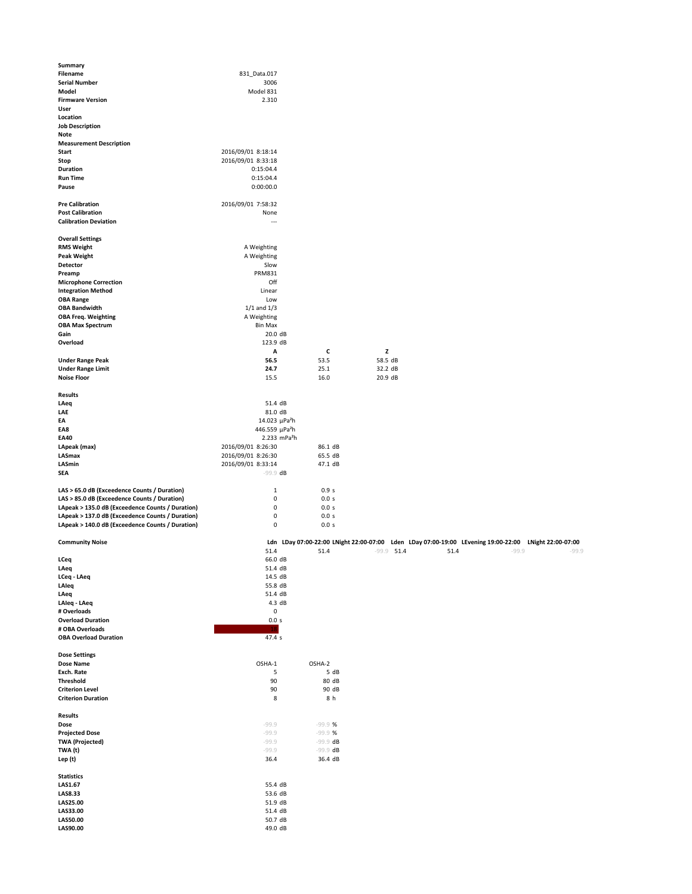| <b>Summary</b>                                   |                                |         |         |
|--------------------------------------------------|--------------------------------|---------|---------|
| <b>Filename</b>                                  | 831 Data.017                   |         |         |
| <b>Serial Number</b>                             | 3006                           |         |         |
| <b>Model</b>                                     | Model 831                      |         |         |
| <b>Firmware Version</b>                          | 2.310                          |         |         |
| <b>User</b>                                      |                                |         |         |
| Location                                         |                                |         |         |
| <b>Job Description</b>                           |                                |         |         |
| <b>Note</b>                                      |                                |         |         |
| <b>Measurement Description</b>                   |                                |         |         |
| <b>Start</b>                                     | 2016/09/01 8:18:14             |         |         |
| <b>Stop</b>                                      | 2016/09/01 8:33:18             |         |         |
| <b>Duration</b>                                  | 0:15:04.4                      |         |         |
| <b>Run Time</b>                                  | 0:15:04.4                      |         |         |
| Pause                                            | 0:00:00.0                      |         |         |
| <b>Pre Calibration</b>                           | 2016/09/01 7:58:32             |         |         |
| <b>Post Calibration</b>                          | None                           |         |         |
| <b>Calibration Deviation</b>                     |                                |         |         |
| <b>Overall Settings</b>                          |                                |         |         |
| <b>RMS Weight</b>                                | A Weighting                    |         |         |
| <b>Peak Weight</b>                               | A Weighting                    |         |         |
| <b>Detector</b>                                  | Slow                           |         |         |
| Preamp                                           | <b>PRM831</b>                  |         |         |
| <b>Microphone Correction</b>                     | Off                            |         |         |
| <b>Integration Method</b>                        | Linear                         |         |         |
| <b>OBA Range</b>                                 | Low                            |         |         |
| <b>OBA Bandwidth</b>                             | $1/1$ and $1/3$                |         |         |
| <b>OBA Freq. Weighting</b>                       | A Weighting                    |         |         |
| <b>OBA Max Spectrum</b>                          | <b>Bin Max</b>                 |         |         |
| Gain                                             | 20.0 dB                        |         |         |
| Overload                                         | 123.9 dB                       |         |         |
|                                                  | $\mathbf{A}$                   | C       | Z       |
| <b>Under Range Peak</b>                          | 56.5                           | 53.5    | 58.5 dB |
| <b>Under Range Limit</b>                         | 24.7                           | 25.1    | 32.2 dB |
| <b>Noise Floor</b>                               | 15.5                           | 16.0    | 20.9 dB |
| <b>Results</b>                                   |                                |         |         |
| LAeq                                             | 51.4 dB                        |         |         |
| <b>LAE</b>                                       | 81.0 dB                        |         |         |
| EA                                               | 14.023 $\mu$ Pa <sup>2</sup> h |         |         |
| EA8                                              | 446.559 µPa <sup>2</sup> h     |         |         |
| <b>EA40</b>                                      | 2.233 mPa <sup>2</sup> h       |         |         |
| LApeak (max)                                     | 2016/09/01 8:26:30             | 86.1 dB |         |
| <b>LASmax</b>                                    | 2016/09/01 8:26:30             | 65.5 dB |         |
| <b>LASmin</b>                                    | 2016/09/01 8:33:14             | 47.1 dB |         |
| <b>SEA</b>                                       | $-99.9$ dB                     |         |         |
| LAS > 65.0 dB (Exceedence Counts / Duration)     | $\mathbf{1}$                   | 0.9s    |         |
| LAS > 85.0 dB (Exceedence Counts / Duration)     | 0                              | 0.0 s   |         |
| LApeak > 135.0 dB (Exceedence Counts / Duration) | 0                              | 0.0 s   |         |
| LApeak > 137.0 dB (Exceedence Counts / Duration) | 0                              | 0.0 s   |         |
| LApeak > 140.0 dB (Exceedence Counts / Duration) | 0                              | 0.0 s   |         |

| <b>Community Noise</b>               |                    |                        |      |              |      | Ldn LDay 07:00-22:00 LNight 22:00-07:00 Lden LDay 07:00-19:00 LEvening 19:00-22:00 LNight 22:00-07:00 |         |
|--------------------------------------|--------------------|------------------------|------|--------------|------|-------------------------------------------------------------------------------------------------------|---------|
|                                      | 51.4               | 51.4                   |      | $-99.9$ 51.4 | 51.4 | $-99.9$                                                                                               | $-99.9$ |
| <b>LCeq</b>                          | 66.0 dB            |                        |      |              |      |                                                                                                       |         |
| LAeq                                 | 51.4 dB            |                        |      |              |      |                                                                                                       |         |
| LCeq - LAeq                          | 14.5 dB            |                        |      |              |      |                                                                                                       |         |
| LAleq                                | 55.8 dB            |                        |      |              |      |                                                                                                       |         |
| LAeq                                 | 51.4 dB            |                        |      |              |      |                                                                                                       |         |
| LAleq - LAeq                         | 4.3 dB             |                        |      |              |      |                                                                                                       |         |
| # Overloads                          | $\pmb{0}$          |                        |      |              |      |                                                                                                       |         |
| <b>Overload Duration</b>             | 0.0 s              |                        |      |              |      |                                                                                                       |         |
| # OBA Overloads                      | <b>18</b>          |                        |      |              |      |                                                                                                       |         |
| <b>OBA Overload Duration</b>         | 47.4 s             |                        |      |              |      |                                                                                                       |         |
|                                      |                    |                        |      |              |      |                                                                                                       |         |
| <b>Dose Settings</b>                 |                    |                        |      |              |      |                                                                                                       |         |
| <b>Dose Name</b>                     | OSHA-1             | OSHA-2                 |      |              |      |                                                                                                       |         |
| <b>Exch. Rate</b>                    | 5                  |                        | 5 dB |              |      |                                                                                                       |         |
| <b>Threshold</b>                     | 90                 | 80 dB                  |      |              |      |                                                                                                       |         |
| <b>Criterion Level</b>               | $90\,$             | 90 dB                  |      |              |      |                                                                                                       |         |
| <b>Criterion Duration</b>            | 8                  | 8 h                    |      |              |      |                                                                                                       |         |
|                                      |                    |                        |      |              |      |                                                                                                       |         |
| <b>Results</b>                       |                    |                        |      |              |      |                                                                                                       |         |
| <b>Dose</b><br><b>Projected Dose</b> | $-99.9$<br>$-99.9$ | $-99.9$ %<br>$-99.9$ % |      |              |      |                                                                                                       |         |
| <b>TWA (Projected)</b>               | $-99.9$            | $-99.9$ dB             |      |              |      |                                                                                                       |         |
| TWA (t)                              | $-99.9$            | $-99.9$ dB             |      |              |      |                                                                                                       |         |
| Lep (t)                              | 36.4               | 36.4 dB                |      |              |      |                                                                                                       |         |
|                                      |                    |                        |      |              |      |                                                                                                       |         |
| <b>Statistics</b>                    |                    |                        |      |              |      |                                                                                                       |         |
| LAS1.67                              | 55.4 dB            |                        |      |              |      |                                                                                                       |         |
| LAS8.33                              | 53.6 dB            |                        |      |              |      |                                                                                                       |         |
| LAS25.00                             | 51.9 dB            |                        |      |              |      |                                                                                                       |         |
| LAS33.00                             | 51.4 dB            |                        |      |              |      |                                                                                                       |         |
| LAS50.00                             | 50.7 dB            |                        |      |              |      |                                                                                                       |         |
| LAS90.00                             | 49.0 dB            |                        |      |              |      |                                                                                                       |         |
|                                      |                    |                        |      |              |      |                                                                                                       |         |